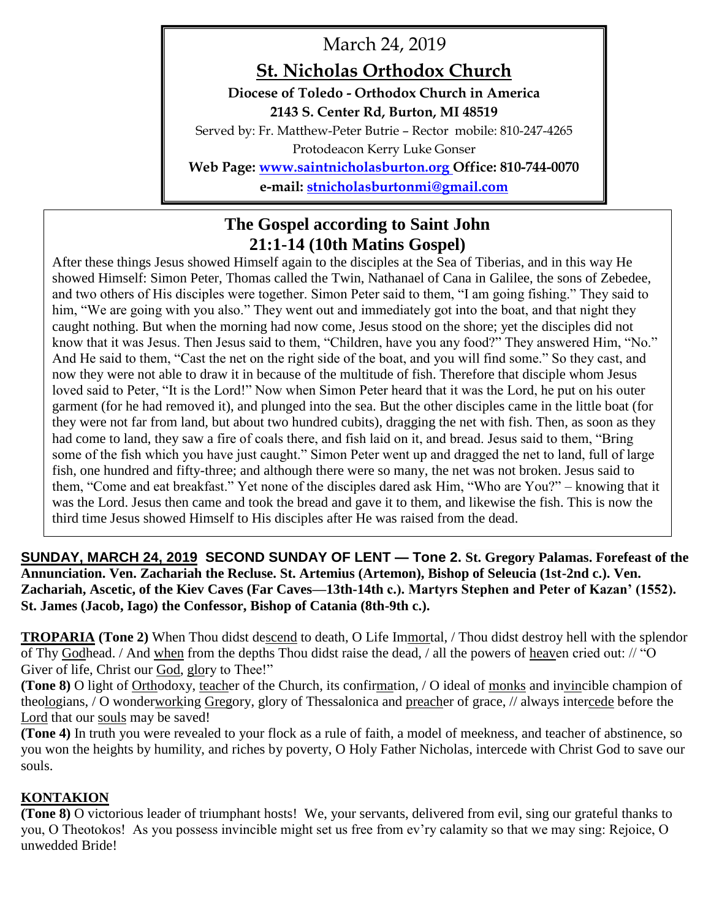March 24, 2019

# **St. Nicholas Orthodox Church**

**Diocese of Toledo - Orthodox Church in America 2143 S. Center Rd, Burton, MI 48519**

Served by: Fr. Matthew-Peter Butrie – Rector mobile: 810-247-4265 Protodeacon Kerry Luke Gonser

**Web Page: [www.saintnicholasburton.org](http://www.saintnicholasburton.org/) Office: 810-744-0070 e-mail: [stnicholasburtonmi@gmail.com](mailto:stnicholasburtonmi@gmail.com)**

# **The Gospel according to Saint John 21:1-14 (10th Matins Gospel)**

After these things Jesus showed Himself again to the disciples at the Sea of Tiberias, and in this way He showed Himself: Simon Peter, Thomas called the Twin, Nathanael of Cana in Galilee, the sons of Zebedee, and two others of His disciples were together. Simon Peter said to them, "I am going fishing." They said to him, "We are going with you also." They went out and immediately got into the boat, and that night they caught nothing. But when the morning had now come, Jesus stood on the shore; yet the disciples did not know that it was Jesus. Then Jesus said to them, "Children, have you any food?" They answered Him, "No." And He said to them, "Cast the net on the right side of the boat, and you will find some." So they cast, and now they were not able to draw it in because of the multitude of fish. Therefore that disciple whom Jesus loved said to Peter, "It is the Lord!" Now when Simon Peter heard that it was the Lord, he put on his outer garment (for he had removed it), and plunged into the sea. But the other disciples came in the little boat (for they were not far from land, but about two hundred cubits), dragging the net with fish. Then, as soon as they had come to land, they saw a fire of coals there, and fish laid on it, and bread. Jesus said to them, "Bring some of the fish which you have just caught." Simon Peter went up and dragged the net to land, full of large fish, one hundred and fifty-three; and although there were so many, the net was not broken. Jesus said to them, "Come and eat breakfast." Yet none of the disciples dared ask Him, "Who are You?" – knowing that it was the Lord. Jesus then came and took the bread and gave it to them, and likewise the fish. This is now the third time Jesus showed Himself to His disciples after He was raised from the dead.

**SUNDAY, MARCH 24, 2019 SECOND SUNDAY OF LENT — Tone 2. St. Gregory Palamas. Forefeast of the Annunciation. Ven. Zachariah the Recluse. St. Artemius (Artemon), Bishop of Seleucia (1st-2nd c.). Ven. Zachariah, Ascetic, of the Kiev Caves (Far Caves—13th-14th c.). Martyrs Stephen and Peter of Kazan' (1552). St. James (Jacob, Iago) the Confessor, Bishop of Catania (8th-9th c.).**

**TROPARIA (Tone 2)** When Thou didst descend to death, O Life Immortal, / Thou didst destroy hell with the splendor of Thy Godhead. / And when from the depths Thou didst raise the dead, / all the powers of heaven cried out: // "O Giver of life, Christ our God, glory to Thee!"

**(Tone 8)** O light of Orthodoxy, teacher of the Church, its confirmation, / O ideal of monks and invincible champion of theologians, / O wonderworking Gregory, glory of Thessalonica and preacher of grace, // always intercede before the Lord that our souls may be saved!

**(Tone 4)** In truth you were revealed to your flock as a rule of faith, a model of meekness, and teacher of abstinence, so you won the heights by humility, and riches by poverty, O Holy Father Nicholas, intercede with Christ God to save our souls.

# **KONTAKION**

**(Tone 8)** O victorious leader of triumphant hosts! We, your servants, delivered from evil, sing our grateful thanks to you, O Theotokos! As you possess invincible might set us free from ev'ry calamity so that we may sing: Rejoice, O unwedded Bride!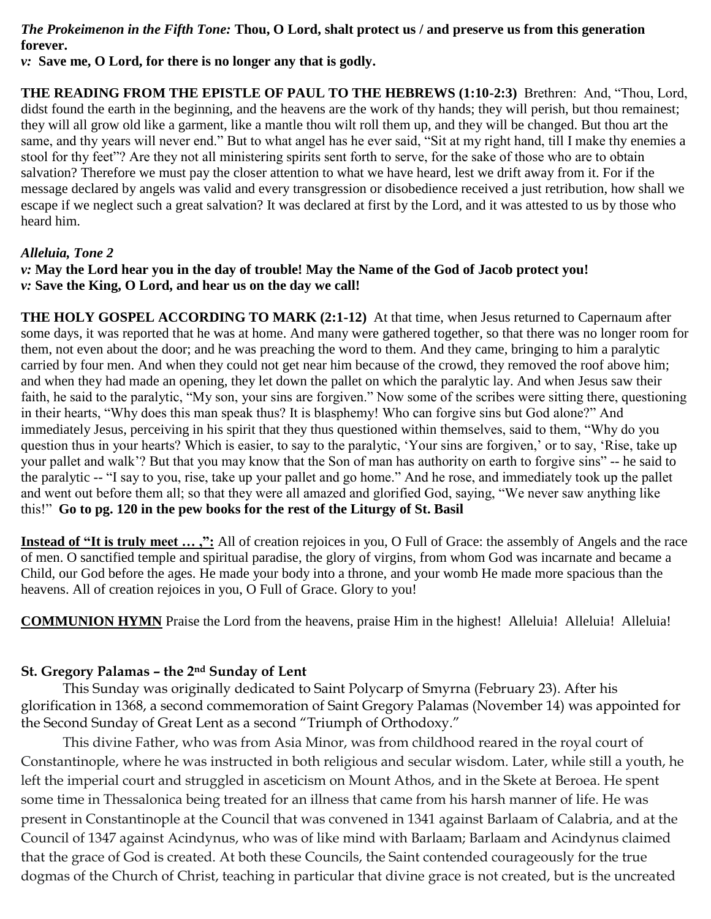### *The Prokeimenon in the Fifth Tone:* **Thou, O Lord, shalt protect us / and preserve us from this generation forever.**

*v:* **Save me, O Lord, for there is no longer any that is godly.**

**THE READING FROM THE EPISTLE OF PAUL TO THE HEBREWS (1:10-2:3)** Brethren: And, "Thou, Lord, didst found the earth in the beginning, and the heavens are the work of thy hands; they will perish, but thou remainest; they will all grow old like a garment, like a mantle thou wilt roll them up, and they will be changed. But thou art the same, and thy years will never end." But to what angel has he ever said, "Sit at my right hand, till I make thy enemies a stool for thy feet"? Are they not all ministering spirits sent forth to serve, for the sake of those who are to obtain salvation? Therefore we must pay the closer attention to what we have heard, lest we drift away from it. For if the message declared by angels was valid and every transgression or disobedience received a just retribution, how shall we escape if we neglect such a great salvation? It was declared at first by the Lord, and it was attested to us by those who heard him.

### *Alleluia, Tone 2*

*v:* **May the Lord hear you in the day of trouble! May the Name of the God of Jacob protect you!** *v:* **Save the King, O Lord, and hear us on the day we call!**

**THE HOLY GOSPEL ACCORDING TO MARK (2:1-12)** At that time, when Jesus returned to Capernaum after some days, it was reported that he was at home. And many were gathered together, so that there was no longer room for them, not even about the door; and he was preaching the word to them. And they came, bringing to him a paralytic carried by four men. And when they could not get near him because of the crowd, they removed the roof above him; and when they had made an opening, they let down the pallet on which the paralytic lay. And when Jesus saw their faith, he said to the paralytic, "My son, your sins are forgiven." Now some of the scribes were sitting there, questioning in their hearts, "Why does this man speak thus? It is blasphemy! Who can forgive sins but God alone?" And immediately Jesus, perceiving in his spirit that they thus questioned within themselves, said to them, "Why do you question thus in your hearts? Which is easier, to say to the paralytic, 'Your sins are forgiven,' or to say, 'Rise, take up your pallet and walk'? But that you may know that the Son of man has authority on earth to forgive sins" -- he said to the paralytic -- "I say to you, rise, take up your pallet and go home." And he rose, and immediately took up the pallet and went out before them all; so that they were all amazed and glorified God, saying, "We never saw anything like this!" **Go to pg. 120 in the pew books for the rest of the Liturgy of St. Basil**

**Instead of "It is truly meet … ,":** All of creation rejoices in you, O Full of Grace: the assembly of Angels and the race of men. O sanctified temple and spiritual paradise, the glory of virgins, from whom God was incarnate and became a Child, our God before the ages. He made your body into a throne, and your womb He made more spacious than the heavens. All of creation rejoices in you, O Full of Grace. Glory to you!

**COMMUNION HYMN** Praise the Lord from the heavens, praise Him in the highest! Alleluia! Alleluia! Alleluia!

#### **St. Gregory Palamas – the 2nd Sunday of Lent**

This Sunday was originally dedicated to Saint Polycarp of Smyrna (February 23). After his glorification in 1368, a second commemoration of Saint Gregory Palamas (November 14) was appointed for the Second Sunday of Great Lent as a second "Triumph of Orthodoxy."

This divine Father, who was from Asia Minor, was from childhood reared in the royal court of Constantinople, where he was instructed in both religious and secular wisdom. Later, while still a youth, he left the imperial court and struggled in asceticism on Mount Athos, and in the Skete at Beroea. He spent some time in Thessalonica being treated for an illness that came from his harsh manner of life. He was present in Constantinople at the Council that was convened in 1341 against Barlaam of Calabria, and at the Council of 1347 against Acindynus, who was of like mind with Barlaam; Barlaam and Acindynus claimed that the grace of God is created. At both these Councils, the Saint contended courageously for the true dogmas of the Church of Christ, teaching in particular that divine grace is not created, but is the uncreated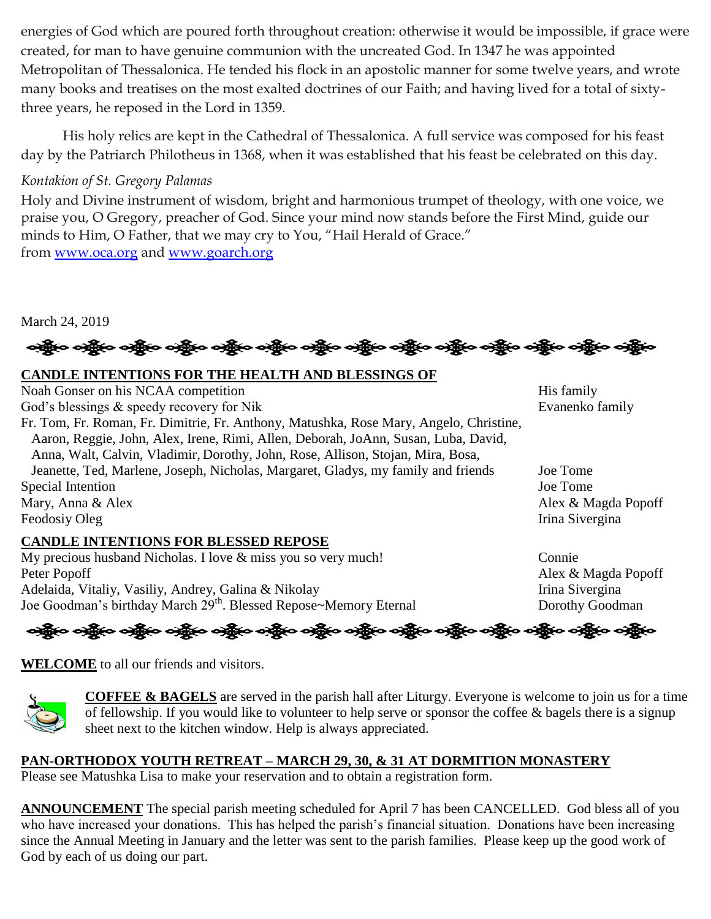energies of God which are poured forth throughout creation: otherwise it would be impossible, if grace were created, for man to have genuine communion with the uncreated God. In 1347 he was appointed Metropolitan of Thessalonica. He tended his flock in an apostolic manner for some twelve years, and wrote many books and treatises on the most exalted doctrines of our Faith; and having lived for a total of sixtythree years, he reposed in the Lord in 1359.

His holy relics are kept in the Cathedral of Thessalonica. A full service was composed for his feast day by the Patriarch Philotheus in 1368, when it was established that his feast be celebrated on this day.

# *Kontakion of St. Gregory Palamas*

Holy and Divine instrument of wisdom, bright and harmonious trumpet of theology, with one voice, we praise you, O Gregory, preacher of God. Since your mind now stands before the First Mind, guide our minds to Him, O Father, that we may cry to You, "Hail Herald of Grace." from [www.oca.org](http://www.oca.org/) and [www.goarch.org](http://www.goarch.org/)

March 24, 2019

န္းမွဳေတြက တန္တီလ တန္တီလ တန္တီလ တန္တီလ တန္တီလ တန္သီလ တန္သီလ တန္သီလ တန္သီလ တန္သီလ တန္သီလ

# **CANDLE INTENTIONS FOR THE HEALTH AND BLESSINGS OF**

| Noah Gonser on his NCAA competition                                                    | His family          |
|----------------------------------------------------------------------------------------|---------------------|
| God's blessings & speedy recovery for Nik                                              | Evanenko family     |
| Fr. Tom, Fr. Roman, Fr. Dimitrie, Fr. Anthony, Matushka, Rose Mary, Angelo, Christine, |                     |
| Aaron, Reggie, John, Alex, Irene, Rimi, Allen, Deborah, JoAnn, Susan, Luba, David,     |                     |
| Anna, Walt, Calvin, Vladimir, Dorothy, John, Rose, Allison, Stojan, Mira, Bosa,        |                     |
| Jeanette, Ted, Marlene, Joseph, Nicholas, Margaret, Gladys, my family and friends      | Joe Tome            |
| Special Intention                                                                      | Joe Tome            |
| Mary, Anna & Alex                                                                      | Alex & Magda Popoff |
| Feodosiy Oleg                                                                          | Irina Sivergina     |
| <b>CANDLE INTENTIONS FOR BLESSED REPOSE</b>                                            |                     |
| My procious bushand Nicholas I love & miss you so you much                             | $C_{\alpha}$        |

My precious husband Nicholas. I love & miss you so very much! Connie Peter Popoff Alex & Magda Popoff Adelaida, Vitaliy, Vasiliy, Andrey, Galina & Nikolay Irina Sivergina Joe Goodman's birthday March 29<sup>th</sup>. Blessed Repose~Memory Eternal Dorothy Goodman



**WELCOME** to all our friends and visitors.



**COFFEE & BAGELS** are served in the parish hall after Liturgy. Everyone is welcome to join us for a time of fellowship. If you would like to volunteer to help serve or sponsor the coffee & bagels there is a signup sheet next to the kitchen window. Help is always appreciated.

# **PAN-ORTHODOX YOUTH RETREAT – MARCH 29, 30, & 31 AT DORMITION MONASTERY**

Please see Matushka Lisa to make your reservation and to obtain a registration form.

**ANNOUNCEMENT** The special parish meeting scheduled for April 7 has been CANCELLED. God bless all of you who have increased your donations. This has helped the parish's financial situation. Donations have been increasing since the Annual Meeting in January and the letter was sent to the parish families. Please keep up the good work of God by each of us doing our part.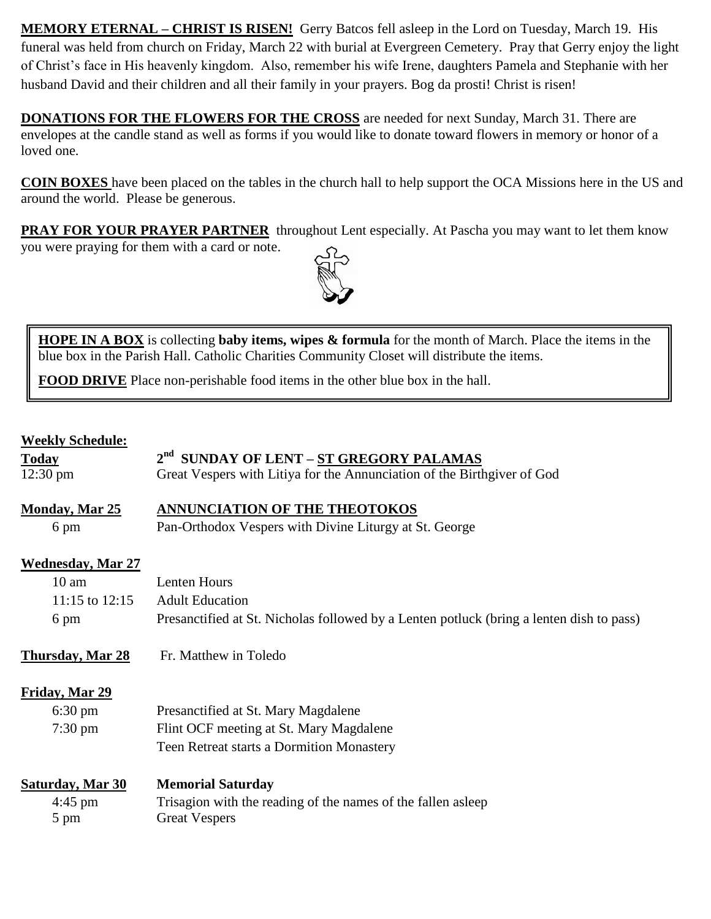**MEMORY ETERNAL – CHRIST IS RISEN!** Gerry Batcos fell asleep in the Lord on Tuesday, March 19. His funeral was held from church on Friday, March 22 with burial at Evergreen Cemetery. Pray that Gerry enjoy the light of Christ's face in His heavenly kingdom. Also, remember his wife Irene, daughters Pamela and Stephanie with her husband David and their children and all their family in your prayers. Bog da prosti! Christ is risen!

**DONATIONS FOR THE FLOWERS FOR THE CROSS** are needed for next Sunday, March 31. There are envelopes at the candle stand as well as forms if you would like to donate toward flowers in memory or honor of a loved one.

**COIN BOXES** have been placed on the tables in the church hall to help support the OCA Missions here in the US and around the world. Please be generous.

**PRAY FOR YOUR PRAYER PARTNER** throughout Lent especially. At Pascha you may want to let them know

you were praying for them with a card or note.



**HOPE IN A BOX** is collecting **baby items, wipes & formula** for the month of March. Place the items in the blue box in the Parish Hall. Catholic Charities Community Closet will distribute the items.

**FOOD DRIVE** Place non-perishable food items in the other blue box in the hall.

#### **Weekly Schedule:**

| <b>Today</b>                  | 2 <sup>nd</sup> SUNDAY OF LENT - ST GREGORY PALAMAS                                      |
|-------------------------------|------------------------------------------------------------------------------------------|
| $12:30 \text{ pm}$            | Great Vespers with Litiya for the Annunciation of the Birthgiver of God                  |
| <b>Monday, Mar 25</b><br>6 pm | ANNUNCIATION OF THE THEOTOKOS<br>Pan-Orthodox Vespers with Divine Liturgy at St. George  |
| <b>Wednesday, Mar 27</b>      |                                                                                          |
| $10 \text{ am}$               | Lenten Hours                                                                             |
| 11:15 to $12:15$              | <b>Adult Education</b>                                                                   |
| 6 pm                          | Presanctified at St. Nicholas followed by a Lenten potluck (bring a lenten dish to pass) |
| <b>Thursday, Mar 28</b>       | Fr. Matthew in Toledo                                                                    |
|                               |                                                                                          |
| Friday, Mar 29                |                                                                                          |
| $6:30 \text{ pm}$             | Presanctified at St. Mary Magdalene                                                      |
| $7:30 \text{ pm}$             | Flint OCF meeting at St. Mary Magdalene                                                  |
|                               | Teen Retreat starts a Dormition Monastery                                                |
| <b>Saturday, Mar 30</b>       | <b>Memorial Saturday</b>                                                                 |
| $4:45$ pm                     | Trisagion with the reading of the names of the fallen as leep                            |